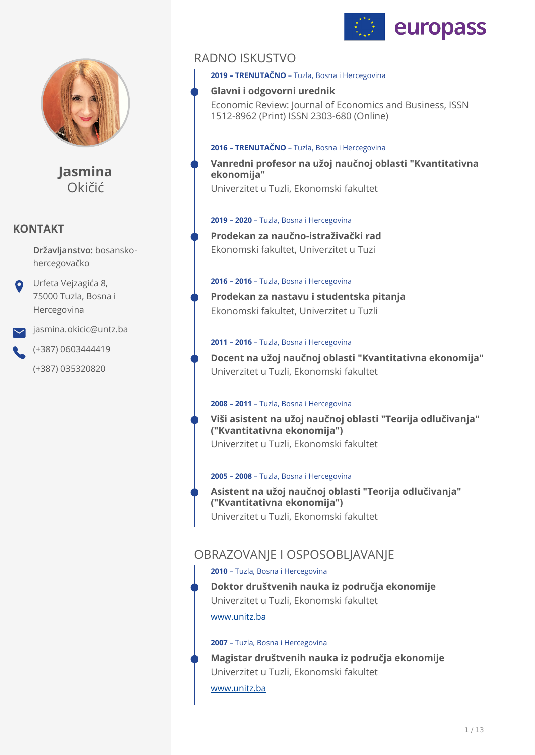



**Jasmina** Okičić

## **KONTAKT**

**Državljanstvo:** bosanskohercegovačko

Urfeta Vejzagića 8, 75000 Tuzla, Bosna i Hercegovina

[jasmina.okicic@untz.ba](mailto:jasmina.okicic@untz.ba)

(+387) 0603444419

(+387) 035320820

## RADNO ISKUSTVO

**2019 – TRENUTAČNO** – Tuzla, Bosna i Hercegovina

## **Glavni i odgovorni urednik**

Economic Review: Journal of Economics and Business, ISSN 1512-8962 (Print) ISSN 2303-680 (Online)

#### **2016 – TRENUTAČNO** – Tuzla, Bosna i Hercegovina

**Vanredni profesor na užoj naučnoj oblasti "Kvantitativna ekonomija"**  Univerzitet u Tuzli, Ekonomski fakultet

## **2019 – 2020** – Tuzla, Bosna i Hercegovina

**Prodekan za naučno-istraživački rad**  Ekonomski fakultet, Univerzitet u Tuzi

### **2016 – 2016** – Tuzla, Bosna i Hercegovina

**Prodekan za nastavu i studentska pitanja**  Ekonomski fakultet, Univerzitet u Tuzli

### **2011 – 2016** – Tuzla, Bosna i Hercegovina

**Docent na užoj naučnoj oblasti "Kvantitativna ekonomija"**  Univerzitet u Tuzli, Ekonomski fakultet

## **2008 – 2011** – Tuzla, Bosna i Hercegovina

**Viši asistent na užoj naučnoj oblasti "Teorija odlučivanja" ("Kvantitativna ekonomija")**  Univerzitet u Tuzli, Ekonomski fakultet

#### **2005 – 2008** – Tuzla, Bosna i Hercegovina

**Asistent na užoj naučnoj oblasti "Teorija odlučivanja" ("Kvantitativna ekonomija")**  Univerzitet u Tuzli, Ekonomski fakultet

## OBRAZOVANJE I OSPOSOBLJAVANJE

## **2010** – Tuzla, Bosna i Hercegovina

[www.unitz.ba](http://www.unitz.ba) **Doktor društvenih nauka iz područja ekonomije**  Univerzitet u Tuzli, Ekonomski fakultet

#### **2007** – Tuzla, Bosna i Hercegovina

**Magistar društvenih nauka iz područja ekonomije**  Univerzitet u Tuzli, Ekonomski fakultet

[www.unitz.ba](http://www.unitz.ba)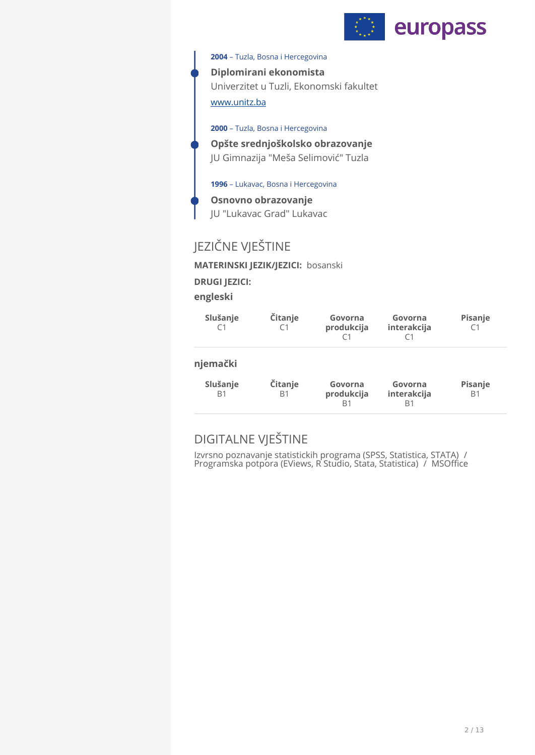

### **2004** – Tuzla, Bosna i Hercegovina

**Diplomirani ekonomista**  Univerzitet u Tuzli, Ekonomski fakultet

## [www.unitz.ba](http://www.unitz.ba)

**2000** – Tuzla, Bosna i Hercegovina

**Opšte srednjoškolsko obrazovanje**  JU Gimnazija "Meša Selimović" Tuzla

**1996** – Lukavac, Bosna i Hercegovina

**Osnovno obrazovanje**  JU "Lukavac Grad" Lukavac

# JEZIČNE VJEŠTINE

**MATERINSKI JEZIK/JEZICI:** bosanski

**DRUGI JEZICI:**

**engleski** 

| Slušanje<br>C <sub>1</sub>             | Čitanje<br>C1        | Govorna<br>produkcija<br>C1        | Govorna<br>interakcija       | Pisanje<br>C1             |
|----------------------------------------|----------------------|------------------------------------|------------------------------|---------------------------|
| njemački<br>Slušanje<br>B <sub>1</sub> | Čitanje<br><b>B1</b> | Govorna<br>produkcija<br><b>B1</b> | Govorna<br>interakcija<br>B1 | Pisanje<br>B <sub>1</sub> |

# DIGITALNE VJEŠTINE

Izvrsno poznavanje statistickih programa (SPSS, Statistica, STATA) / Programska potpora (EViews, R Studio, Stata, Statistica) / MSOffice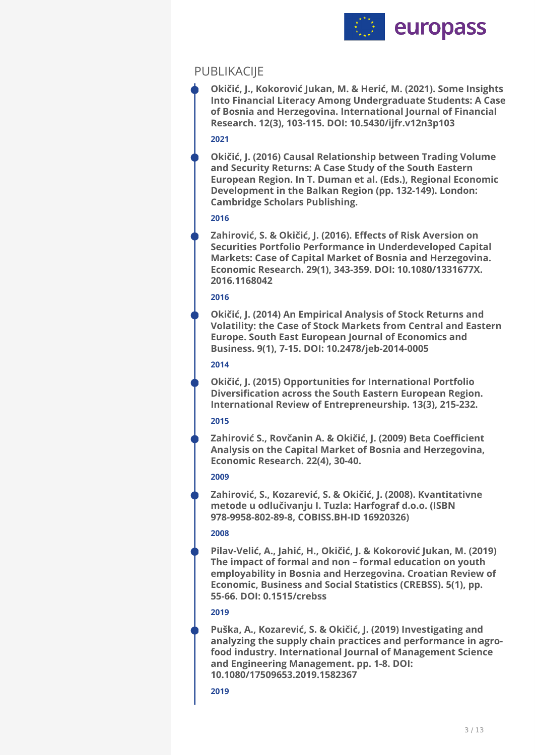

## PUBLIKACIJE

**Okičić, J., Kokorović Jukan, M. & Herić, M. (2021). Some Insights Into Financial Literacy Among Undergraduate Students: A Case of Bosnia and Herzegovina. International Journal of Financial Research. 12(3), 103-115. DOI: 10.5430/ijfr.v12n3p103** 

## **2021**

**Okičić, J. (2016) Causal Relationship between Trading Volume and Security Returns: A Case Study of the South Eastern European Region. In T. Duman et al. (Eds.), Regional Economic Development in the Balkan Region (pp. 132-149). London: Cambridge Scholars Publishing.** 

## **2016**

**Zahirović, S. & Okičić, J. (2016). Effects of Risk Aversion on Securities Portfolio Performance in Underdeveloped Capital Markets: Case of Capital Market of Bosnia and Herzegovina. Economic Research. 29(1), 343-359. DOI: 10.1080/1331677X. 2016.1168042** 

## **2016**

**Okičić, J. (2014) An Empirical Analysis of Stock Returns and Volatility: the Case of Stock Markets from Central and Eastern Europe. South East European Journal of Economics and Business. 9(1), 7-15. DOI: 10.2478/jeb-2014-0005** 

## **2014**

**Okičić, J. (2015) Opportunities for International Portfolio Diversification across the South Eastern European Region. International Review of Entrepreneurship. 13(3), 215-232.** 

## **2015**

**Zahirović S., Rovčanin A. & Okičić, J. (2009) Beta Coefficient Analysis on the Capital Market of Bosnia and Herzegovina, Economic Research. 22(4), 30-40.** 

## **2009**

**Zahirović, S., Kozarević, S. & Okičić, J. (2008). Kvantitativne metode u odlučivanju I. Tuzla: Harfograf d.o.o. (ISBN 978-9958-802-89-8, COBISS.BH-ID 16920326)** 

## **2008**

**Pilav-Velić, A., Jahić, H., Okičić, J. & Kokorović Jukan, M. (2019) The impact of formal and non – formal education on youth employability in Bosnia and Herzegovina. Croatian Review of Economic, Business and Social Statistics (CREBSS). 5(1), pp. 55-66. DOI: 0.1515/crebss** 

## **2019**

**Puška, A., Kozarević, S. & Okičić, J. (2019) Investigating and analyzing the supply chain practices and performance in agrofood industry. International Journal of Management Science and Engineering Management. pp. 1-8. DOI: 10.1080/17509653.2019.1582367**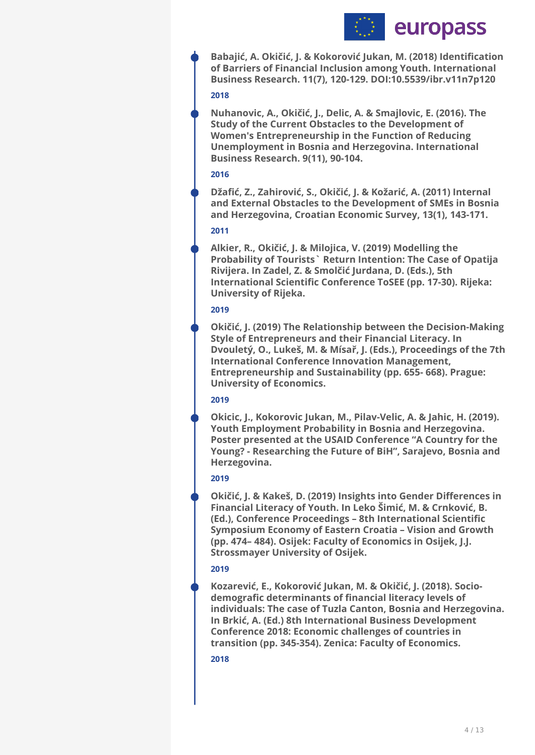

**Babajić, A. Okičić, J. & Kokorović Jukan, M. (2018) Identification of Barriers of Financial Inclusion among Youth. International Business Research. 11(7), 120-129. DOI:10.5539/ibr.v11n7p120** 

#### **2018**

**Nuhanovic, A., Okičić, J., Delic, A. & Smajlovic, E. (2016). The Study of the Current Obstacles to the Development of Women's Entrepreneurship in the Function of Reducing Unemployment in Bosnia and Herzegovina. International Business Research. 9(11), 90-104.** 

#### **2016**

**Džafić, Z., Zahirović, S., Okičić, J. & Kožarić, A. (2011) Internal and External Obstacles to the Development of SMEs in Bosnia and Herzegovina, Croatian Economic Survey, 13(1), 143-171.** 

#### **2011**

**Alkier, R., Okičić, J. & Milojica, V. (2019) Modelling the Probability of Tourists` Return Intention: The Case of Opatija Rivijera. In Zadel, Z. & Smolčić Jurdana, D. (Eds.), 5th International Scientific Conference ToSEE (pp. 17-30). Rijeka: University of Rijeka.** 

#### **2019**

**Okičić, J. (2019) The Relationship between the Decision-Making Style of Entrepreneurs and their Financial Literacy. In Dvouletý, O., Lukeš, M. & Mísař, J. (Eds.), Proceedings of the 7th International Conference Innovation Management, Entrepreneurship and Sustainability (pp. 655- 668). Prague: University of Economics.** 

#### **2019**

**Okicic, J., Kokorovic Jukan, M., Pilav-Velic, A. & Jahic, H. (2019). Youth Employment Probability in Bosnia and Herzegovina. Poster presented at the USAID Conference "A Country for the Young? - Researching the Future of BiH", Sarajevo, Bosnia and Herzegovina.** 

## **2019**

**Okičić, J. & Kakeš, D. (2019) Insights into Gender Differences in Financial Literacy of Youth. In Leko Šimić, M. & Crnković, B. (Ed.), Conference Proceedings – 8th International Scientific Symposium Economy of Eastern Croatia – Vision and Growth (pp. 474– 484). Osijek: Faculty of Economics in Osijek, J.J. Strossmayer University of Osijek.** 

#### **2019**

**Kozarević, E., Kokorović Jukan, M. & Okičić, J. (2018). Sociodemografic determinants of financial literacy levels of individuals: The case of Tuzla Canton, Bosnia and Herzegovina. In Brkić, A. (Ed.) 8th International Business Development Conference 2018: Economic challenges of countries in transition (pp. 345-354). Zenica: Faculty of Economics.**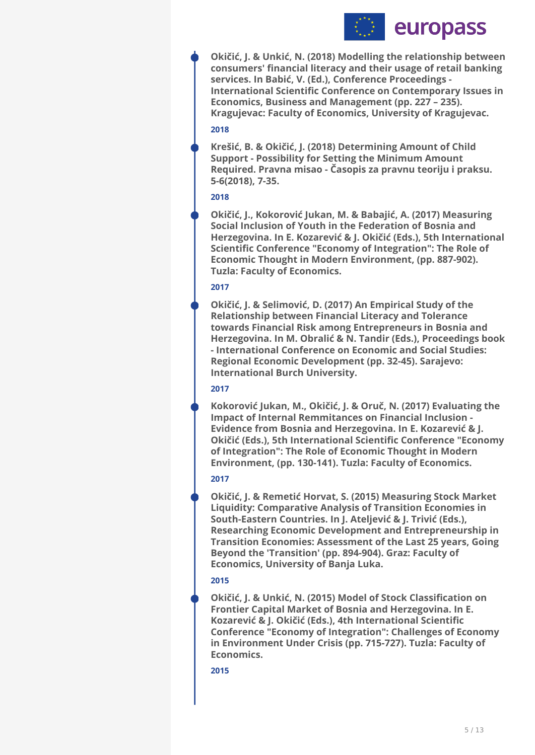

**2018 Okičić, J. & Unkić, N. (2018) Modelling the relationship between consumers' financial literacy and their usage of retail banking services. In Babić, V. (Ed.), Conference Proceedings - International Scientific Conference on Contemporary Issues in Economics, Business and Management (pp. 227 – 235). Kragujevac: Faculty of Economics, University of Kragujevac.** 

**Krešić, B. & Okičić, J. (2018) Determining Amount of Child Support - Possibility for Setting the Minimum Amount Required. Pravna misao - Časopis za pravnu teoriju i praksu. 5-6(2018), 7-35.** 

### **2018**

**Okičić, J., Kokorović Jukan, M. & Babajić, A. (2017) Measuring Social Inclusion of Youth in the Federation of Bosnia and Herzegovina. In E. Kozarević & J. Okičić (Eds.), 5th International Scientific Conference "Economy of Integration": The Role of Economic Thought in Modern Environment, (pp. 887-902). Tuzla: Faculty of Economics.** 

## **2017**

**Okičić, J. & Selimović, D. (2017) An Empirical Study of the Relationship between Financial Literacy and Tolerance towards Financial Risk among Entrepreneurs in Bosnia and Herzegovina. In M. Obralić & N. Tandir (Eds.), Proceedings book - International Conference on Economic and Social Studies: Regional Economic Development (pp. 32-45). Sarajevo: International Burch University.** 

## **2017**

**Kokorović Jukan, M., Okičić, J. & Oruč, N. (2017) Evaluating the Impact of Internal Remmitances on Financial Inclusion - Evidence from Bosnia and Herzegovina. In E. Kozarević & J. Okičić (Eds.), 5th International Scientific Conference "Economy of Integration": The Role of Economic Thought in Modern Environment, (pp. 130-141). Tuzla: Faculty of Economics.** 

## **2017**

**Okičić, J. & Remetić Horvat, S. (2015) Measuring Stock Market Liquidity: Comparative Analysis of Transition Economies in South-Eastern Countries. In J. Ateljević & J. Trivić (Eds.), Researching Economic Development and Entrepreneurship in Transition Economies: Assessment of the Last 25 years, Going Beyond the 'Transition' (pp. 894-904). Graz: Faculty of Economics, University of Banja Luka.** 

## **2015**

**Okičić, J. & Unkić, N. (2015) Model of Stock Classification on Frontier Capital Market of Bosnia and Herzegovina. In E. Kozarević & J. Okičić (Eds.), 4th International Scientific Conference "Economy of Integration": Challenges of Economy in Environment Under Crisis (pp. 715-727). Tuzla: Faculty of Economics.**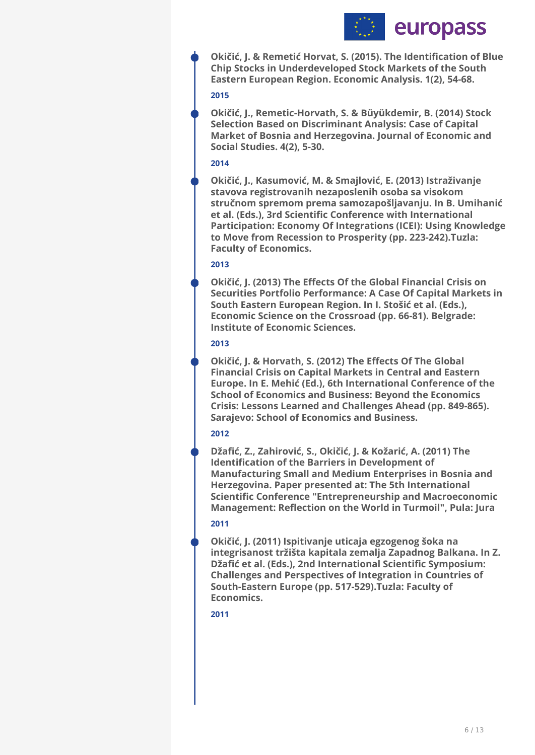

**Okičić, J. & Remetić Horvat, S. (2015). The Identification of Blue Chip Stocks in Underdeveloped Stock Markets of the South Eastern European Region. Economic Analysis. 1(2), 54-68.** 

#### **2015**

**Okičić, J., Remetic-Horvath, S. & Büyükdemir, B. (2014) Stock Selection Based on Discriminant Analysis: Case of Capital Market of Bosnia and Herzegovina. Journal of Economic and Social Studies. 4(2), 5-30.** 

## **2014**

**Okičić, J., Kasumović, M. & Smajlović, E. (2013) Istraživanje stavova registrovanih nezaposlenih osoba sa visokom stručnom spremom prema samozapošljavanju. In B. Umihanić et al. (Eds.), 3rd Scientific Conference with International Participation: Economy Of Integrations (ICEI): Using Knowledge to Move from Recession to Prosperity (pp. 223-242).Tuzla: Faculty of Economics.** 

## **2013**

**Okičić, J. (2013) The Effects Of the Global Financial Crisis on Securities Portfolio Performance: A Case Of Capital Markets in South Eastern European Region. In I. Stošić et al. (Eds.), Economic Science on the Crossroad (pp. 66-81). Belgrade: Institute of Economic Sciences.** 

## **2013**

**Okičić, J. & Horvath, S. (2012) The Effects Of The Global Financial Crisis on Capital Markets in Central and Eastern Europe. In E. Mehić (Ed.), 6th International Conference of the School of Economics and Business: Beyond the Economics Crisis: Lessons Learned and Challenges Ahead (pp. 849-865). Sarajevo: School of Economics and Business.** 

## **2012**

**Džafić, Z., Zahirović, S., Okičić, J. & Kožarić, A. (2011) The Identification of the Barriers in Development of Manufacturing Small and Medium Enterprises in Bosnia and Herzegovina. Paper presented at: The 5th International Scientific Conference "Entrepreneurship and Macroeconomic Management: Reflection on the World in Turmoil", Pula: Jura** 

## **2011**

**Okičić, J. (2011) Ispitivanje uticaja egzogenog šoka na integrisanost tržišta kapitala zemalja Zapadnog Balkana. In Z. Džafić et al. (Eds.), 2nd International Scientific Symposium: Challenges and Perspectives of Integration in Countries of South-Eastern Europe (pp. 517-529).Tuzla: Faculty of Economics.**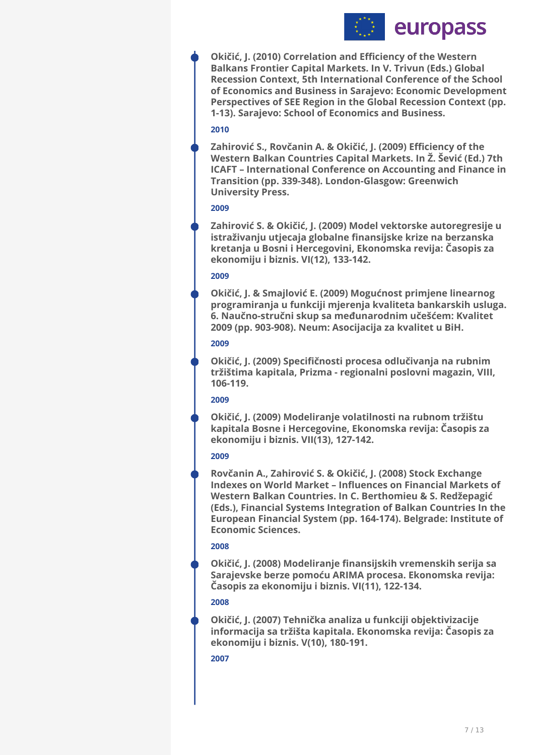

**Okičić, J. (2010) Correlation and Efficiency of the Western Balkans Frontier Capital Markets. In V. Trivun (Eds.) Global Recession Context, 5th International Conference of the School of Economics and Business in Sarajevo: Economic Development Perspectives of SEE Region in the Global Recession Context (pp. 1-13). Sarajevo: School of Economics and Business.** 

### **2010**

**Zahirović S., Rovčanin A. & Okičić, J. (2009) Efficiency of the Western Balkan Countries Capital Markets. In Ž. Šević (Ed.) 7th ICAFT – International Conference on Accounting and Finance in Transition (pp. 339-348). London-Glasgow: Greenwich University Press.** 

#### **2009**

**Zahirović S. & Okičić, J. (2009) Model vektorske autoregresije u istraživanju utjecaja globalne finansijske krize na berzanska kretanja u Bosni i Hercegovini, Ekonomska revija: Časopis za ekonomiju i biznis. VI(12), 133-142.** 

#### **2009**

**Okičić, J. & Smajlović E. (2009) Mogućnost primjene linearnog programiranja u funkciji mjerenja kvaliteta bankarskih usluga. 6. Naučno-stručni skup sa međunarodnim učešćem: Kvalitet 2009 (pp. 903-908). Neum: Asocijacija za kvalitet u BiH.** 

## **2009**

**Okičić, J. (2009) Specifičnosti procesa odlučivanja na rubnim tržištima kapitala, Prizma - regionalni poslovni magazin, VIII, 106-119.** 

#### **2009**

**Okičić, J. (2009) Modeliranje volatilnosti na rubnom tržištu kapitala Bosne i Hercegovine, Ekonomska revija: Časopis za ekonomiju i biznis. VII(13), 127-142.** 

#### **2009**

**Rovčanin A., Zahirović S. & Okičić, J. (2008) Stock Exchange Indexes on World Market – Influences on Financial Markets of Western Balkan Countries. In C. Berthomieu & S. Redžepagić (Eds.), Financial Systems Integration of Balkan Countries In the European Financial System (pp. 164-174). Belgrade: Institute of Economic Sciences.** 

## **2008**

**Okičić, J. (2008) Modeliranje finansijskih vremenskih serija sa Sarajevske berze pomoću ARIMA procesa. Ekonomska revija: Časopis za ekonomiju i biznis. VI(11), 122-134.** 

## **2008**

**Okičić, J. (2007) Tehnička analiza u funkciji objektivizacije informacija sa tržišta kapitala. Ekonomska revija: Časopis za ekonomiju i biznis. V(10), 180-191.**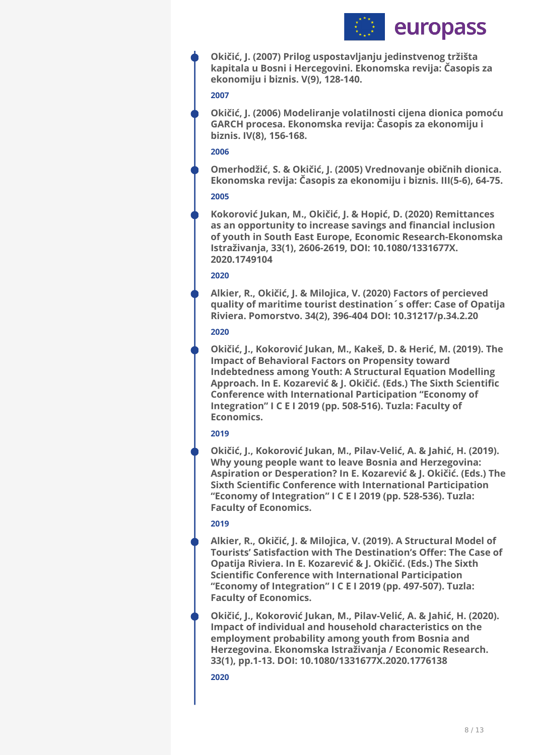

**Okičić, J. (2007) Prilog uspostavljanju jedinstvenog tržišta kapitala u Bosni i Hercegovini. Ekonomska revija: Časopis za ekonomiju i biznis. V(9), 128-140.** 

#### **2007**

**Okičić, J. (2006) Modeliranje volatilnosti cijena dionica pomoću GARCH procesa. Ekonomska revija: Časopis za ekonomiju i biznis. IV(8), 156-168.** 

## **2006**

**Omerhodžić, S. & Okičić, J. (2005) Vrednovanje običnih dionica. Ekonomska revija: Časopis za ekonomiju i biznis. III(5-6), 64-75.** 

### **2005**

**Kokorović Jukan, M., Okičić, J. & Hopić, D. (2020) Remittances as an opportunity to increase savings and financial inclusion of youth in South East Europe, Economic Research-Ekonomska Istraživanja, 33(1), 2606-2619, DOI: 10.1080/1331677X. 2020.1749104** 

### **2020**

**Alkier, R., Okičić, J. & Milojica, V. (2020) Factors of percieved quality of maritime tourist destination´s offer: Case of Opatija Riviera. Pomorstvo. 34(2), 396-404 DOI: 10.31217/p.34.2.20** 

### **2020**

**Okičić, J., Kokorović Jukan, M., Kakeš, D. & Herić, M. (2019). The Impact of Behavioral Factors on Propensity toward Indebtedness among Youth: A Structural Equation Modelling Approach. In E. Kozarević & J. Okičić. (Eds.) The Sixth Scientific Conference with International Participation "Economy of Integration" I C E I 2019 (pp. 508-516). Tuzla: Faculty of Economics.** 

## **2019**

**Okičić, J., Kokorović Jukan, M., Pilav-Velić, A. & Jahić, H. (2019). Why young people want to leave Bosnia and Herzegovina: Aspiration or Desperation? In E. Kozarević & J. Okičić. (Eds.) The Sixth Scientific Conference with International Participation "Economy of Integration" I C E I 2019 (pp. 528-536). Tuzla: Faculty of Economics.** 

## **2019**

**Alkier, R., Okičić, J. & Milojica, V. (2019). A Structural Model of Tourists' Satisfaction with The Destination's Offer: The Case of Opatija Riviera. In E. Kozarević & J. Okičić. (Eds.) The Sixth Scientific Conference with International Participation "Economy of Integration" I C E I 2019 (pp. 497-507). Tuzla: Faculty of Economics.** 

**Okičić, J., Kokorović Jukan, M., Pilav-Velić, A. & Jahić, H. (2020). Impact of individual and household characteristics on the employment probability among youth from Bosnia and Herzegovina. Ekonomska Istraživanja / Economic Research. 33(1), pp.1-13. DOI: 10.1080/1331677X.2020.1776138**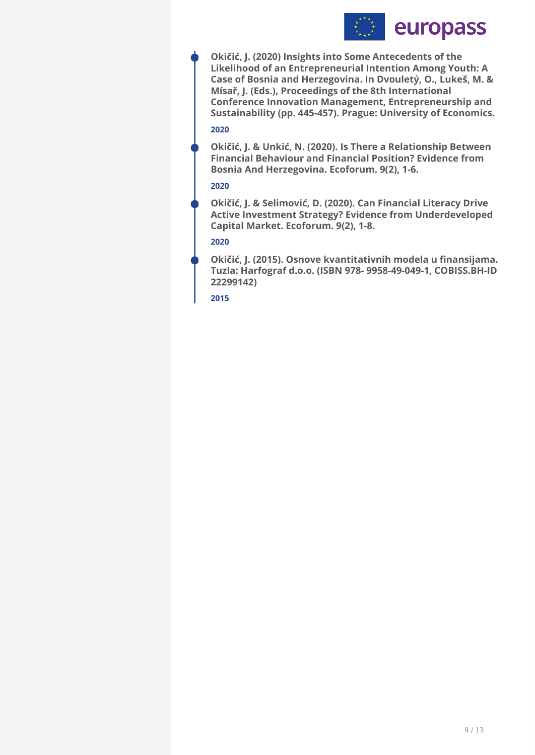

**2020 Okičić, J. (2020) Insights into Some Antecedents of the Likelihood of an Entrepreneurial Intention Among Youth: A Case of Bosnia and Herzegovina. In Dvouletý, O., Lukeš, M. & Mísař, J. (Eds.), Proceedings of the 8th International Conference Innovation Management, Entrepreneurship and Sustainability (pp. 445-457). Prague: University of Economics.** 

**Okičić, J. & Unkić, N. (2020). Is There a Relationship Between Financial Behaviour and Financial Position? Evidence from Bosnia And Herzegovina. Ecoforum. 9(2), 1-6.** 

#### **2020**

**Okičić, J. & Selimović, D. (2020). Can Financial Literacy Drive Active Investment Strategy? Evidence from Underdeveloped Capital Market. Ecoforum. 9(2), 1-8.** 

### **2020**

**Okičić, J. (2015). Osnove kvantitativnih modela u finansijama. Tuzla: Harfograf d.o.o. (ISBN 978- 9958-49-049-1, COBISS.BH-ID 22299142)**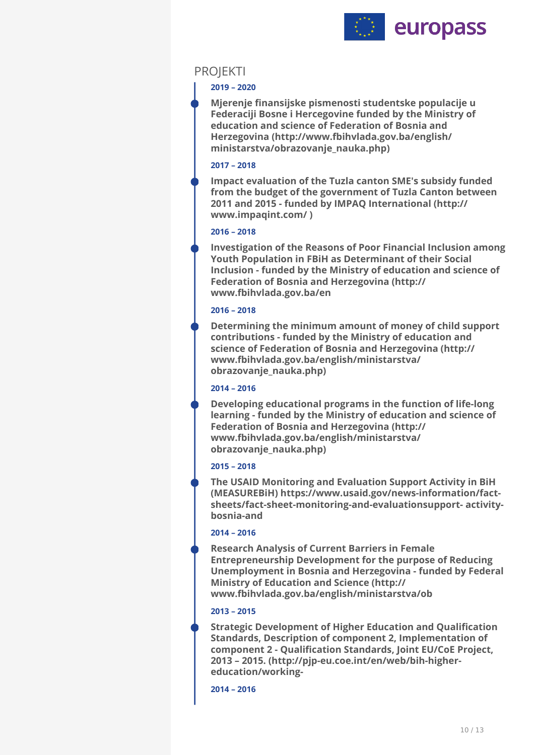

## PROJEKTI

### **2019 – 2020**

**Mjerenje finansijske pismenosti studentske populacije u Federaciji Bosne i Hercegovine funded by the Ministry of education and science of Federation of Bosnia and Herzegovina (http://www.fbihvlada.gov.ba/english/ ministarstva/obrazovanje\_nauka.php)**

#### **2017 – 2018**

**Impact evaluation of the Tuzla canton SME's subsidy funded from the budget of the government of Tuzla Canton between 2011 and 2015 - funded by IMPAQ International (http:// www.impaqint.com/ )**

### **2016 – 2018**

**Investigation of the Reasons of Poor Financial Inclusion among Youth Population in FBiH as Determinant of their Social Inclusion - funded by the Ministry of education and science of Federation of Bosnia and Herzegovina (http:// www.fbihvlada.gov.ba/en**

### **2016 – 2018**

**Determining the minimum amount of money of child support contributions - funded by the Ministry of education and science of Federation of Bosnia and Herzegovina (http:// www.fbihvlada.gov.ba/english/ministarstva/ obrazovanje\_nauka.php)**

## **2014 – 2016**

**Developing educational programs in the function of life-long learning - funded by the Ministry of education and science of Federation of Bosnia and Herzegovina (http:// www.fbihvlada.gov.ba/english/ministarstva/ obrazovanje\_nauka.php)**

#### **2015 – 2018**

**The USAID Monitoring and Evaluation Support Activity in BiH (MEASUREBiH) https://www.usaid.gov/news-information/factsheets/fact-sheet-monitoring-and-evaluationsupport- activitybosnia-and**

## **2014 – 2016**

**Research Analysis of Current Barriers in Female Entrepreneurship Development for the purpose of Reducing Unemployment in Bosnia and Herzegovina - funded by Federal Ministry of Education and Science (http:// www.fbihvlada.gov.ba/english/ministarstva/ob**

## **2013 – 2015**

**Strategic Development of Higher Education and Qualification Standards, Description of component 2, Implementation of component 2 - Qualification Standards, Joint EU/CoE Project, 2013 – 2015. (http://pjp-eu.coe.int/en/web/bih-highereducation/working-**

**2014 – 2016**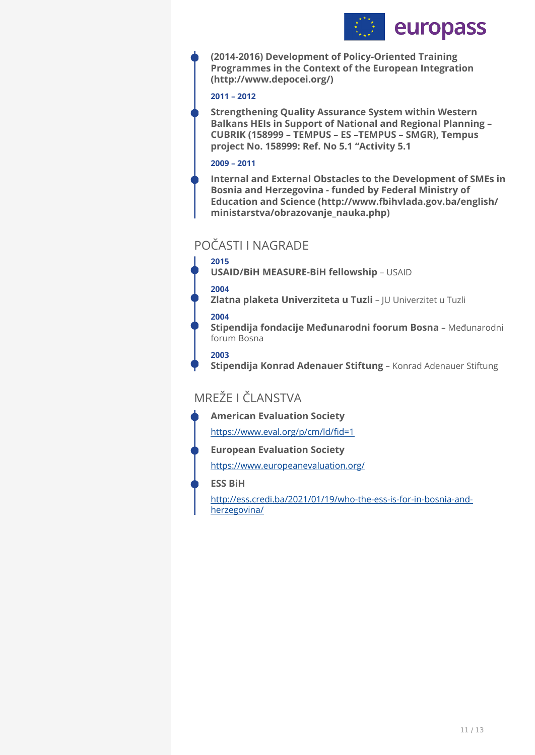

**(2014-2016) Development of Policy-Oriented Training Programmes in the Context of the European Integration (http://www.depocei.org/)**

### **2011 – 2012**

**Strengthening Quality Assurance System within Western Balkans HEIs in Support of National and Regional Planning – CUBRIK (158999 – TEMPUS – ES –TEMPUS – SMGR), Tempus project No. 158999: Ref. No 5.1 "Activity 5.1** 

#### **2009 – 2011**

**Internal and External Obstacles to the Development of SMEs in Bosnia and Herzegovina - funded by Federal Ministry of Education and Science (http://www.fbihvlada.gov.ba/english/ ministarstva/obrazovanje\_nauka.php)**

# POČASTI I NAGRADE

## **2015**

**USAID/BiH MEASURE-BiH fellowship - USAID** 

### **2004**

**Zlatna plaketa Univerziteta u Tuzli** – JU Univerzitet u Tuzli

### **2004**

**Stipendija fondacije Međunarodni foorum Bosna** – Međunarodni forum Bosna

## **2003**

Stipendija Konrad Adenauer Stiftung - Konrad Adenauer Stiftung

# MREŽE I ČLANSTVA

**American Evaluation Society** 

[https://www.eval.org/p/cm/ld/](https://www.eval.org/p/cm/ld/fid=1)fid=1

**European Evaluation Society** 

<https://www.europeanevaluation.org/>

## **ESS BiH**

[http://ess.credi.ba/2021/01/19/who-the-ess-is-for-in-bosnia-and](http://ess.credi.ba/2021/01/19/who-the-ess-is-for-in-bosnia-and-herzegovina/)[herzegovina/](http://ess.credi.ba/2021/01/19/who-the-ess-is-for-in-bosnia-and-herzegovina/)

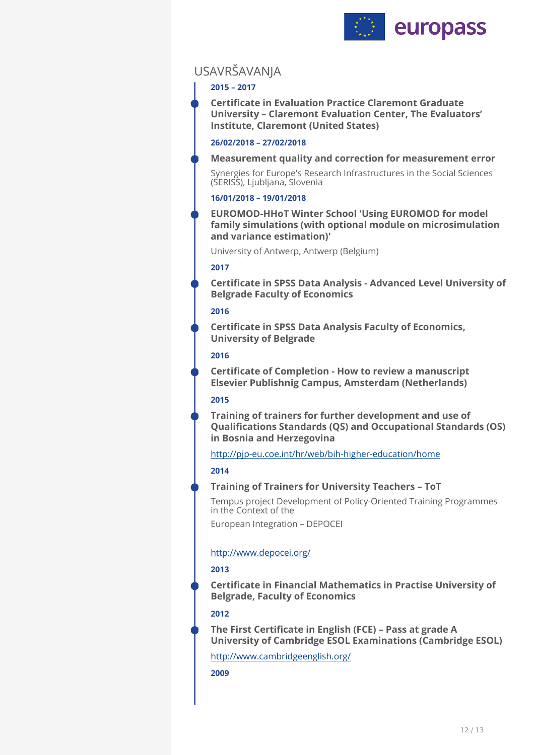

# USAVRŠAVANJA

## **2015 – 2017**

**Certificate in Evaluation Practice Claremont Graduate University – Claremont Evaluation Center, The Evaluators' Institute, Claremont (United States)** 

### **26/02/2018 – 27/02/2018**

#### **Measurement quality and correction for measurement error**

Synergies for Europe's Research Infrastructures in the Social Sciences (SERISS), Ljubljana, Slovenia

## **16/01/2018 – 19/01/2018**

**EUROMOD-HHoT Winter School 'Using EUROMOD for model family simulations (with optional module on microsimulation and variance estimation)'** 

University of Antwerp, Antwerp (Belgium)

## **2017**

**Certificate in SPSS Data Analysis - Advanced Level University of Belgrade Faculty of Economics** 

### **2016**

**Certificate in SPSS Data Analysis Faculty of Economics, University of Belgrade** 

## **2016**

**Certificate of Completion - How to review a manuscript Elsevier Publishnig Campus, Amsterdam (Netherlands)** 

## **2015**

**Training of trainers for further development and use of Qualifications Standards (QS) and Occupational Standards (OS) in Bosnia and Herzegovina** 

<http://pjp-eu.coe.int/hr/web/bih-higher-education/home>

## **2014**

## **Training of Trainers for University Teachers – ToT**

Tempus project Development of Policy-Oriented Training Programmes in the Context of the

European Integration – DEPOCEI

## <http://www.depocei.org/>

## **2013**

**Certificate in Financial Mathematics in Practise University of Belgrade, Faculty of Economics** 

## **2012**

**The First Certificate in English (FCE) – Pass at grade A University of Cambridge ESOL Examinations (Cambridge ESOL)** 

<http://www.cambridgeenglish.org/>